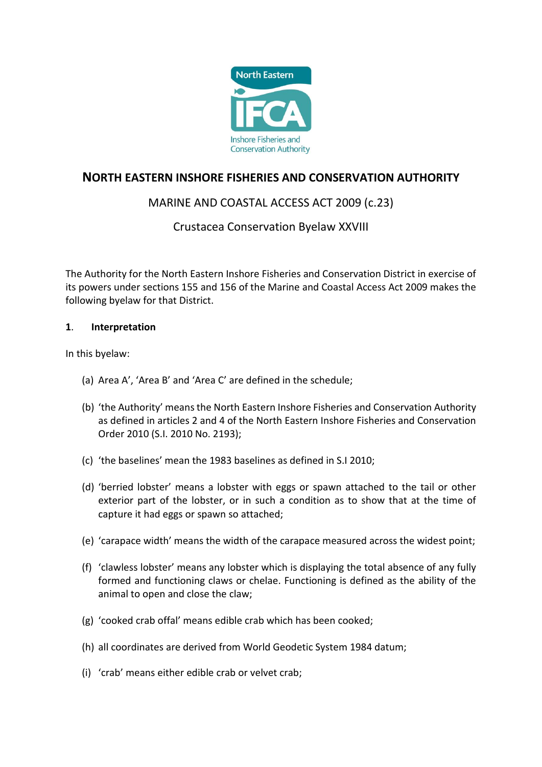

# **NORTH EASTERN INSHORE FISHERIES AND CONSERVATION AUTHORITY**

# MARINE AND COASTAL ACCESS ACT 2009 (c.23)

## Crustacea Conservation Byelaw XXVIII

The Authority for the North Eastern Inshore Fisheries and Conservation District in exercise of its powers under sections 155 and 156 of the Marine and Coastal Access Act 2009 makes the following byelaw for that District.

## **1**. **Interpretation**

In this byelaw:

- (a) Area A', 'Area B' and 'Area C' are defined in the schedule;
- (b) 'the Authority' means the North Eastern Inshore Fisheries and Conservation Authority as defined in articles 2 and 4 of the North Eastern Inshore Fisheries and Conservation Order 2010 (S.I. 2010 No. 2193);
- (c) 'the baselines' mean the 1983 baselines as defined in S.I 2010;
- (d) 'berried lobster' means a lobster with eggs or spawn attached to the tail or other exterior part of the lobster, or in such a condition as to show that at the time of capture it had eggs or spawn so attached;
- (e) 'carapace width' means the width of the carapace measured across the widest point;
- (f) 'clawless lobster' means any lobster which is displaying the total absence of any fully formed and functioning claws or chelae. Functioning is defined as the ability of the animal to open and close the claw;
- (g) 'cooked crab offal' means edible crab which has been cooked;
- (h) all coordinates are derived from World Geodetic System 1984 datum;
- (i) 'crab' means either edible crab or velvet crab;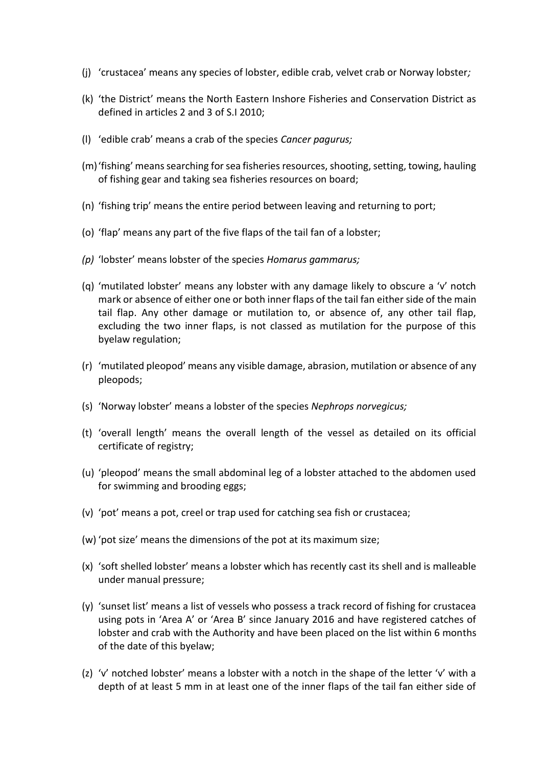- (j) 'crustacea' means any species of lobster, edible crab, velvet crab or Norway lobster*;*
- (k) 'the District' means the North Eastern Inshore Fisheries and Conservation District as defined in articles 2 and 3 of S.I 2010;
- (l) 'edible crab' means a crab of the species *Cancer pagurus;*
- (m)'fishing' means searching for sea fisheries resources, shooting, setting, towing, hauling of fishing gear and taking sea fisheries resources on board;
- (n) 'fishing trip' means the entire period between leaving and returning to port;
- (o) 'flap' means any part of the five flaps of the tail fan of a lobster;
- *(p)* 'lobster' means lobster of the species *Homarus gammarus;*
- (q) 'mutilated lobster' means any lobster with any damage likely to obscure a 'v' notch mark or absence of either one or both inner flaps of the tail fan either side of the main tail flap. Any other damage or mutilation to, or absence of, any other tail flap, excluding the two inner flaps, is not classed as mutilation for the purpose of this byelaw regulation;
- (r) 'mutilated pleopod' means any visible damage, abrasion, mutilation or absence of any pleopods;
- (s) 'Norway lobster' means a lobster of the species *Nephrops norvegicus;*
- (t) 'overall length' means the overall length of the vessel as detailed on its official certificate of registry;
- (u) 'pleopod' means the small abdominal leg of a lobster attached to the abdomen used for swimming and brooding eggs;
- (v) 'pot' means a pot, creel or trap used for catching sea fish or crustacea;
- (w) 'pot size' means the dimensions of the pot at its maximum size;
- (x) 'soft shelled lobster' means a lobster which has recently cast its shell and is malleable under manual pressure;
- (y) 'sunset list' means a list of vessels who possess a track record of fishing for crustacea using pots in 'Area A' or 'Area B' since January 2016 and have registered catches of lobster and crab with the Authority and have been placed on the list within 6 months of the date of this byelaw;
- (z) 'v' notched lobster' means a lobster with a notch in the shape of the letter 'v' with a depth of at least 5 mm in at least one of the inner flaps of the tail fan either side of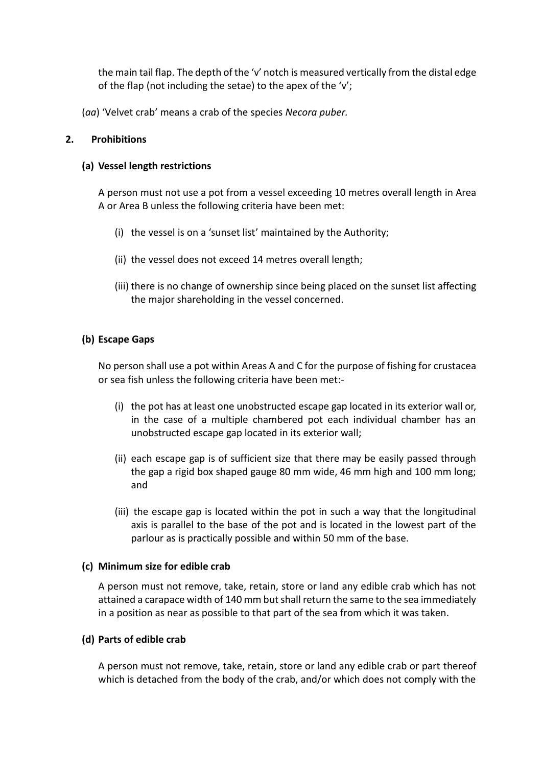the main tail flap. The depth of the 'v' notch is measured vertically from the distal edge of the flap (not including the setae) to the apex of the 'v';

(*aa*) 'Velvet crab' means a crab of the species *Necora puber.*

### **2. Prohibitions**

#### **(a) Vessel length restrictions**

A person must not use a pot from a vessel exceeding 10 metres overall length in Area A or Area B unless the following criteria have been met:

- (i) the vessel is on a 'sunset list' maintained by the Authority;
- (ii) the vessel does not exceed 14 metres overall length;
- (iii) there is no change of ownership since being placed on the sunset list affecting the major shareholding in the vessel concerned.

## **(b) Escape Gaps**

No person shall use a pot within Areas A and C for the purpose of fishing for crustacea or sea fish unless the following criteria have been met:-

- (i) the pot has at least one unobstructed escape gap located in its exterior wall or, in the case of a multiple chambered pot each individual chamber has an unobstructed escape gap located in its exterior wall;
- (ii) each escape gap is of sufficient size that there may be easily passed through the gap a rigid box shaped gauge 80 mm wide, 46 mm high and 100 mm long; and
- (iii) the escape gap is located within the pot in such a way that the longitudinal axis is parallel to the base of the pot and is located in the lowest part of the parlour as is practically possible and within 50 mm of the base.

#### **(c) Minimum size for edible crab**

A person must not remove, take, retain, store or land any edible crab which has not attained a carapace width of 140 mm but shall return the same to the sea immediately in a position as near as possible to that part of the sea from which it was taken.

#### **(d) Parts of edible crab**

A person must not remove, take, retain, store or land any edible crab or part thereof which is detached from the body of the crab, and/or which does not comply with the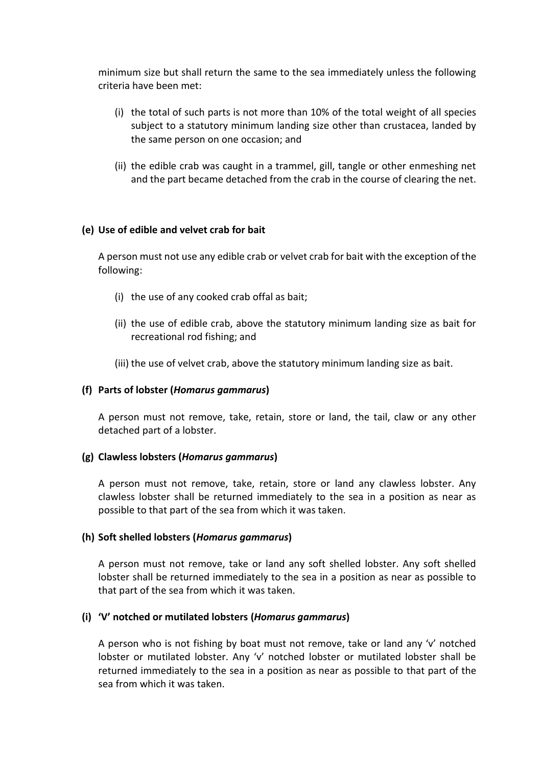minimum size but shall return the same to the sea immediately unless the following criteria have been met:

- (i) the total of such parts is not more than 10% of the total weight of all species subject to a statutory minimum landing size other than crustacea, landed by the same person on one occasion; and
- (ii) the edible crab was caught in a trammel, gill, tangle or other enmeshing net and the part became detached from the crab in the course of clearing the net.

#### **(e) Use of edible and velvet crab for bait**

A person must not use any edible crab or velvet crab for bait with the exception of the following:

- (i) the use of any cooked crab offal as bait;
- (ii) the use of edible crab, above the statutory minimum landing size as bait for recreational rod fishing; and
- (iii) the use of velvet crab, above the statutory minimum landing size as bait.

#### **(f) Parts of lobster (***Homarus gammarus***)**

A person must not remove, take, retain, store or land, the tail, claw or any other detached part of a lobster.

#### **(g) Clawless lobsters (***Homarus gammarus***)**

A person must not remove, take, retain, store or land any clawless lobster. Any clawless lobster shall be returned immediately to the sea in a position as near as possible to that part of the sea from which it was taken.

#### **(h) Soft shelled lobsters (***Homarus gammarus***)**

A person must not remove, take or land any soft shelled lobster. Any soft shelled lobster shall be returned immediately to the sea in a position as near as possible to that part of the sea from which it was taken.

#### **(i) 'V' notched or mutilated lobsters (***Homarus gammarus***)**

A person who is not fishing by boat must not remove, take or land any 'v' notched lobster or mutilated lobster. Any 'v' notched lobster or mutilated lobster shall be returned immediately to the sea in a position as near as possible to that part of the sea from which it was taken.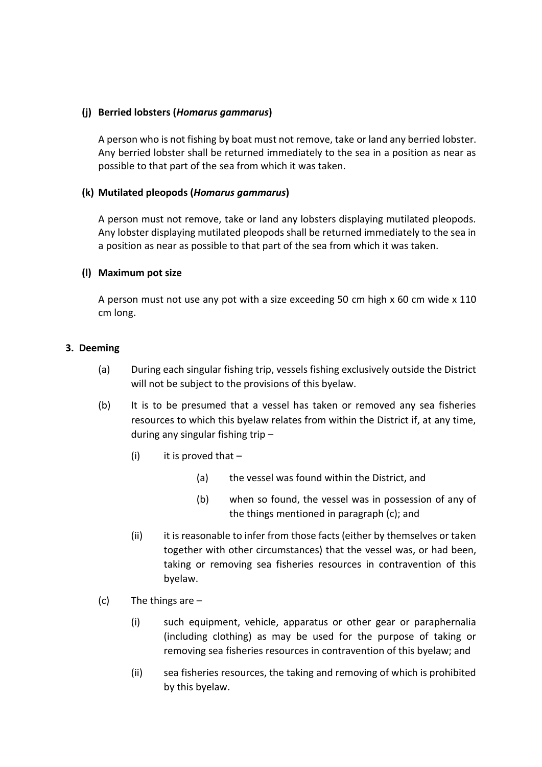### **(j) Berried lobsters (***Homarus gammarus***)**

A person who is not fishing by boat must not remove, take or land any berried lobster. Any berried lobster shall be returned immediately to the sea in a position as near as possible to that part of the sea from which it was taken.

## **(k) Mutilated pleopods (***Homarus gammarus***)**

A person must not remove, take or land any lobsters displaying mutilated pleopods. Any lobster displaying mutilated pleopods shall be returned immediately to the sea in a position as near as possible to that part of the sea from which it was taken.

## **(l) Maximum pot size**

A person must not use any pot with a size exceeding 50 cm high x 60 cm wide x 110 cm long.

## **3. Deeming**

- (a) During each singular fishing trip, vessels fishing exclusively outside the District will not be subject to the provisions of this byelaw.
- (b) It is to be presumed that a vessel has taken or removed any sea fisheries resources to which this byelaw relates from within the District if, at any time, during any singular fishing trip –
	- (i) it is proved that  $-$ 
		- (a) the vessel was found within the District, and
		- (b) when so found, the vessel was in possession of any of the things mentioned in paragraph (c); and
	- (ii) it is reasonable to infer from those facts (either by themselves or taken together with other circumstances) that the vessel was, or had been, taking or removing sea fisheries resources in contravention of this byelaw.
- (c) The things are  $-$ 
	- (i) such equipment, vehicle, apparatus or other gear or paraphernalia (including clothing) as may be used for the purpose of taking or removing sea fisheries resources in contravention of this byelaw; and
	- (ii) sea fisheries resources, the taking and removing of which is prohibited by this byelaw.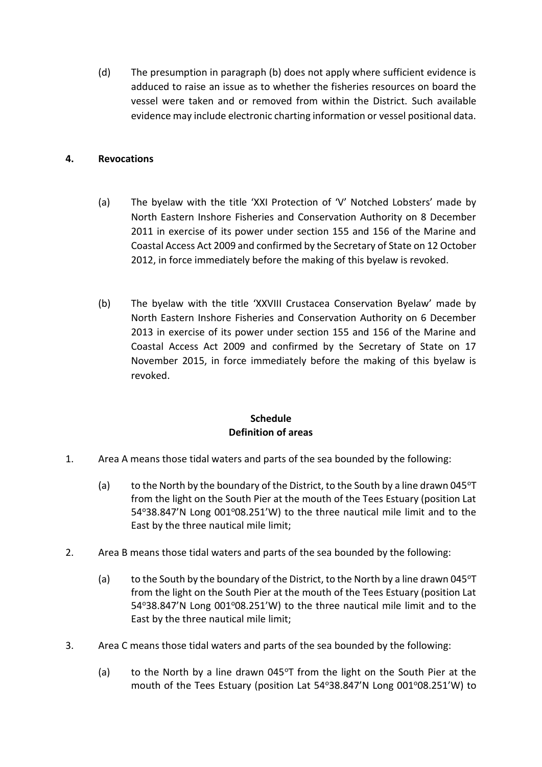(d) The presumption in paragraph (b) does not apply where sufficient evidence is adduced to raise an issue as to whether the fisheries resources on board the vessel were taken and or removed from within the District. Such available evidence may include electronic charting information or vessel positional data.

## **4. Revocations**

- (a) The byelaw with the title 'XXI Protection of 'V' Notched Lobsters' made by North Eastern Inshore Fisheries and Conservation Authority on 8 December 2011 in exercise of its power under section 155 and 156 of the Marine and Coastal Access Act 2009 and confirmed by the Secretary of State on 12 October 2012, in force immediately before the making of this byelaw is revoked.
- (b) The byelaw with the title 'XXVIII Crustacea Conservation Byelaw' made by North Eastern Inshore Fisheries and Conservation Authority on 6 December 2013 in exercise of its power under section 155 and 156 of the Marine and Coastal Access Act 2009 and confirmed by the Secretary of State on 17 November 2015, in force immediately before the making of this byelaw is revoked.

## **Schedule Definition of areas**

- 1. Area A means those tidal waters and parts of the sea bounded by the following:
	- (a) to the North by the boundary of the District, to the South by a line drawn 045 $\sigma$ T from the light on the South Pier at the mouth of the Tees Estuary (position Lat 54°38.847'N Long 001°08.251'W) to the three nautical mile limit and to the East by the three nautical mile limit;
- 2. Area B means those tidal waters and parts of the sea bounded by the following:
	- (a) to the South by the boundary of the District, to the North by a line drawn 045 $\textdegree T$ from the light on the South Pier at the mouth of the Tees Estuary (position Lat  $54^{\circ}38.847'$ N Long  $001^{\circ}08.251'$ W) to the three nautical mile limit and to the East by the three nautical mile limit;
- 3. Area C means those tidal waters and parts of the sea bounded by the following:
	- (a) to the North by a line drawn  $045^{\circ}$ T from the light on the South Pier at the mouth of the Tees Estuary (position Lat 54°38.847'N Long 001°08.251'W) to